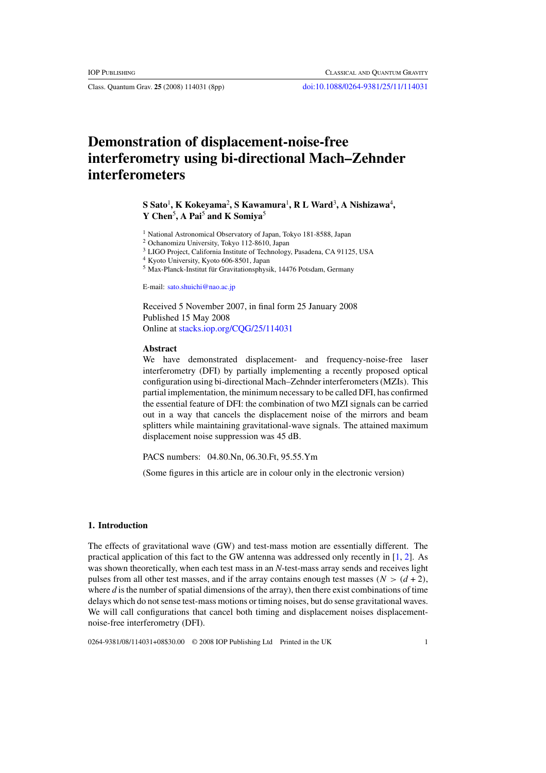# **Demonstration of displacement-noise-free interferometry using bi-directional Mach–Zehnder interferometers**

## ${\bf S}$  Sato<sup>1</sup>, K Kokeyama<sup>2</sup>, S Kawamura<sup>1</sup>, R L Ward<sup>3</sup>, A Nishizawa<sup>4</sup>, **Y Chen**<sup>5</sup> **, A Pai**<sup>5</sup> **and K Somiya**<sup>5</sup>

<sup>1</sup> National Astronomical Observatory of Japan, Tokyo 181-8588, Japan

<sup>2</sup> Ochanomizu University, Tokyo 112-8610, Japan

<sup>3</sup> LIGO Project, California Institute of Technology, Pasadena, CA 91125, USA

<sup>4</sup> Kyoto University, Kyoto 606-8501, Japan

 $5$  Max-Planck-Institut für Gravitationsphysik, 14476 Potsdam, Germany

E-mail: [sato.shuichi@nao.ac.jp](mailto:sato.shuichi@nao.ac.jp)

Received 5 November 2007, in final form 25 January 2008 Published 15 May 2008 Online at [stacks.iop.org/CQG/25/114031](http://stacks.iop.org/ CQG/25/114031)

#### **Abstract**

We have demonstrated displacement- and frequency-noise-free laser interferometry (DFI) by partially implementing a recently proposed optical configuration using bi-directional Mach–Zehnder interferometers (MZIs). This partial implementation, the minimum necessary to be called DFI, has confirmed the essential feature of DFI: the combination of two MZI signals can be carried out in a way that cancels the displacement noise of the mirrors and beam splitters while maintaining gravitational-wave signals. The attained maximum displacement noise suppression was 45 dB.

PACS numbers: 04.80.Nn, 06.30.Ft, 95.55.Ym

(Some figures in this article are in colour only in the electronic version)

#### **1. Introduction**

The effects of gravitational wave (GW) and test-mass motion are essentially different. The practical application of this fact to the GW antenna was addressed only recently in [\[1,](#page-7-0) [2\]](#page-7-0). As was shown theoretically, when each test mass in an *N*-test-mass array sends and receives light pulses from all other test masses, and if the array contains enough test masses  $(N > (d + 2))$ , where *d* is the number of spatial dimensions of the array), then there exist combinations of time delays which do not sense test-mass motions or timing noises, but do sense gravitational waves. We will call configurations that cancel both timing and displacement noises displacementnoise-free interferometry (DFI).

0264-9381/08/114031+08\$30.00 © 2008 IOP Publishing Ltd Printed in the UK 1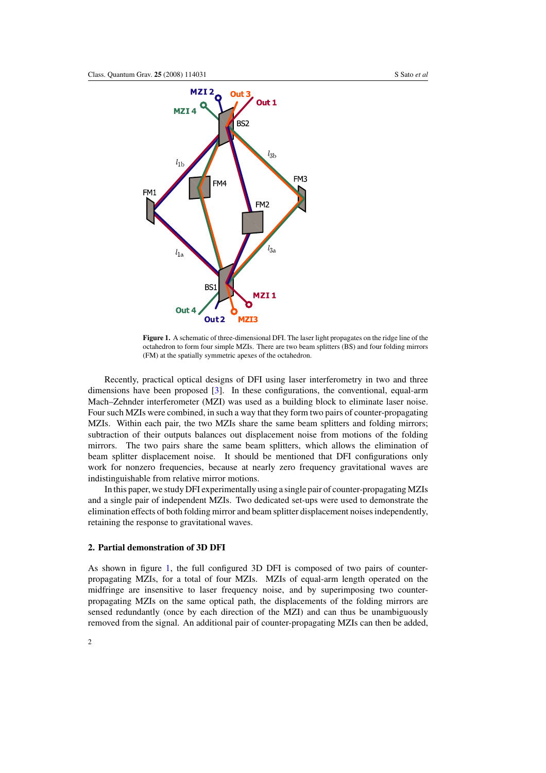<span id="page-1-0"></span>

**Figure 1.** A schematic of three-dimensional DFI. The laser light propagates on the ridge line of the octahedron to form four simple MZIs. There are two beam splitters (BS) and four folding mirrors (FM) at the spatially symmetric apexes of the octahedron.

Recently, practical optical designs of DFI using laser interferometry in two and three dimensions have been proposed [\[3\]](#page-7-0). In these configurations, the conventional, equal-arm Mach–Zehnder interferometer (MZI) was used as a building block to eliminate laser noise. Four such MZIs were combined, in such a way that they form two pairs of counter-propagating MZIs. Within each pair, the two MZIs share the same beam splitters and folding mirrors; subtraction of their outputs balances out displacement noise from motions of the folding mirrors. The two pairs share the same beam splitters, which allows the elimination of beam splitter displacement noise. It should be mentioned that DFI configurations only work for nonzero frequencies, because at nearly zero frequency gravitational waves are indistinguishable from relative mirror motions.

In this paper, we study DFI experimentally using a single pair of counter-propagating MZIs and a single pair of independent MZIs. Two dedicated set-ups were used to demonstrate the elimination effects of both folding mirror and beam splitter displacement noises independently, retaining the response to gravitational waves.

### **2. Partial demonstration of 3D DFI**

As shown in figure 1, the full configured 3D DFI is composed of two pairs of counterpropagating MZIs, for a total of four MZIs. MZIs of equal-arm length operated on the midfringe are insensitive to laser frequency noise, and by superimposing two counterpropagating MZIs on the same optical path, the displacements of the folding mirrors are sensed redundantly (once by each direction of the MZI) and can thus be unambiguously removed from the signal. An additional pair of counter-propagating MZIs can then be added,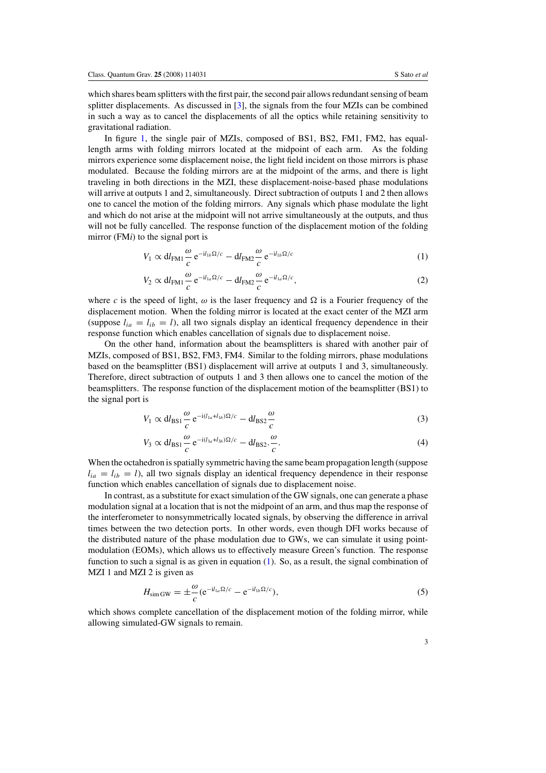which shares beam splitters with the first pair, the second pair allows redundant sensing of beam splitter displacements. As discussed in [\[3](#page-7-0)], the signals from the four MZIs can be combined in such a way as to cancel the displacements of all the optics while retaining sensitivity to gravitational radiation.

In figure [1,](#page-1-0) the single pair of MZIs, composed of BS1, BS2, FM1, FM2, has equallength arms with folding mirrors located at the midpoint of each arm. As the folding mirrors experience some displacement noise, the light field incident on those mirrors is phase modulated. Because the folding mirrors are at the midpoint of the arms, and there is light traveling in both directions in the MZI, these displacement-noise-based phase modulations will arrive at outputs 1 and 2, simultaneously. Direct subtraction of outputs 1 and 2 then allows one to cancel the motion of the folding mirrors. Any signals which phase modulate the light and which do not arise at the midpoint will not arrive simultaneously at the outputs, and thus will not be fully cancelled. The response function of the displacement motion of the folding mirror (FM*i*) to the signal port is

$$
V_1 \propto \mathrm{d}l_{\mathrm{FM1}} \frac{\omega}{c} e^{-i l_{1b} \Omega/c} - \mathrm{d}l_{\mathrm{FM2}} \frac{\omega}{c} e^{-i l_{1b} \Omega/c}
$$
 (1)

$$
V_2 \propto \mathrm{d}l_{\mathrm{FM1}} \frac{\omega}{c} e^{-\mathrm{i}l_{1a}\Omega/c} - \mathrm{d}l_{\mathrm{FM2}} \frac{\omega}{c} e^{-\mathrm{i}l_{1a}\Omega/c},\tag{2}
$$

where *c* is the speed of light,  $\omega$  is the laser frequency and  $\Omega$  is a Fourier frequency of the displacement motion. When the folding mirror is located at the exact center of the MZI arm (suppose  $l_{ia} = l_{ib} = l$ ), all two signals display an identical frequency dependence in their response function which enables cancellation of signals due to displacement noise.

On the other hand, information about the beamsplitters is shared with another pair of MZIs, composed of BS1, BS2, FM3, FM4. Similar to the folding mirrors, phase modulations based on the beamsplitter (BS1) displacement will arrive at outputs 1 and 3, simultaneously. Therefore, direct subtraction of outputs 1 and 3 then allows one to cancel the motion of the beamsplitters. The response function of the displacement motion of the beamsplitter (BS1) to the signal port is

$$
V_1 \propto \mathrm{d}l_{\mathrm{BS1}} \frac{\omega}{c} \,\mathrm{e}^{-\mathrm{i}(l_{1a} + l_{1b})\Omega/c} - \mathrm{d}l_{\mathrm{BS2}} \frac{\omega}{c} \tag{3}
$$

$$
V_3 \propto \mathrm{d}l_{\mathrm{BS1}} \frac{\omega}{c} e^{-i(l_{3a} + l_{3b})\Omega/c} - \mathrm{d}l_{\mathrm{BS2}} \frac{\omega}{c}.\tag{4}
$$

When the octahedron is spatially symmetric having the same beam propagation length (suppose  $l_{ia} = l_{ib} = l$ ), all two signals display an identical frequency dependence in their response function which enables cancellation of signals due to displacement noise.

In contrast, as a substitute for exact simulation of the GW signals, one can generate a phase modulation signal at a location that is not the midpoint of an arm, and thus map the response of the interferometer to nonsymmetrically located signals, by observing the difference in arrival times between the two detection ports. In other words, even though DFI works because of the distributed nature of the phase modulation due to GWs, we can simulate it using pointmodulation (EOMs), which allows us to effectively measure Green's function. The response function to such a signal is as given in equation  $(1)$ . So, as a result, the signal combination of MZI 1 and MZI 2 is given as

$$
H_{\text{simGW}} = \pm \frac{\omega}{c} (e^{-i l_{1a} \Omega/c} - e^{-i l_{1b} \Omega/c}), \tag{5}
$$

which shows complete cancellation of the displacement motion of the folding mirror, while allowing simulated-GW signals to remain.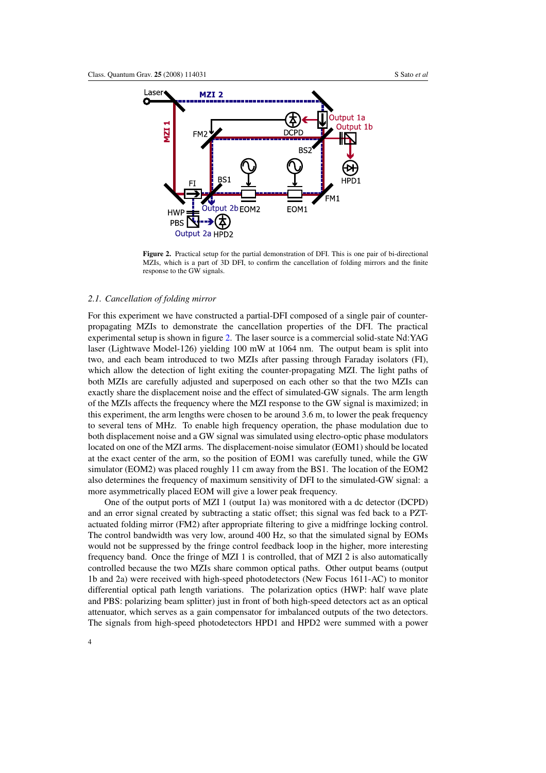

**Figure 2.** Practical setup for the partial demonstration of DFI. This is one pair of bi-directional MZIs, which is a part of 3D DFI, to confirm the cancellation of folding mirrors and the finite response to the GW signals.

#### *2.1. Cancellation of folding mirror*

For this experiment we have constructed a partial-DFI composed of a single pair of counterpropagating MZIs to demonstrate the cancellation properties of the DFI. The practical experimental setup is shown in figure 2. The laser source is a commercial solid-state Nd:YAG laser (Lightwave Model-126) yielding 100 mW at 1064 nm. The output beam is split into two, and each beam introduced to two MZIs after passing through Faraday isolators (FI), which allow the detection of light exiting the counter-propagating MZI. The light paths of both MZIs are carefully adjusted and superposed on each other so that the two MZIs can exactly share the displacement noise and the effect of simulated-GW signals. The arm length of the MZIs affects the frequency where the MZI response to the GW signal is maximized; in this experiment, the arm lengths were chosen to be around 3.6 m, to lower the peak frequency to several tens of MHz. To enable high frequency operation, the phase modulation due to both displacement noise and a GW signal was simulated using electro-optic phase modulators located on one of the MZI arms. The displacement-noise simulator (EOM1) should be located at the exact center of the arm, so the position of EOM1 was carefully tuned, while the GW simulator (EOM2) was placed roughly 11 cm away from the BS1. The location of the EOM2 also determines the frequency of maximum sensitivity of DFI to the simulated-GW signal: a more asymmetrically placed EOM will give a lower peak frequency.

One of the output ports of MZI 1 (output 1a) was monitored with a dc detector (DCPD) and an error signal created by subtracting a static offset; this signal was fed back to a PZTactuated folding mirror (FM2) after appropriate filtering to give a midfringe locking control. The control bandwidth was very low, around 400 Hz, so that the simulated signal by EOMs would not be suppressed by the fringe control feedback loop in the higher, more interesting frequency band. Once the fringe of MZI 1 is controlled, that of MZI 2 is also automatically controlled because the two MZIs share common optical paths. Other output beams (output 1b and 2a) were received with high-speed photodetectors (New Focus 1611-AC) to monitor differential optical path length variations. The polarization optics (HWP: half wave plate and PBS: polarizing beam splitter) just in front of both high-speed detectors act as an optical attenuator, which serves as a gain compensator for imbalanced outputs of the two detectors. The signals from high-speed photodetectors HPD1 and HPD2 were summed with a power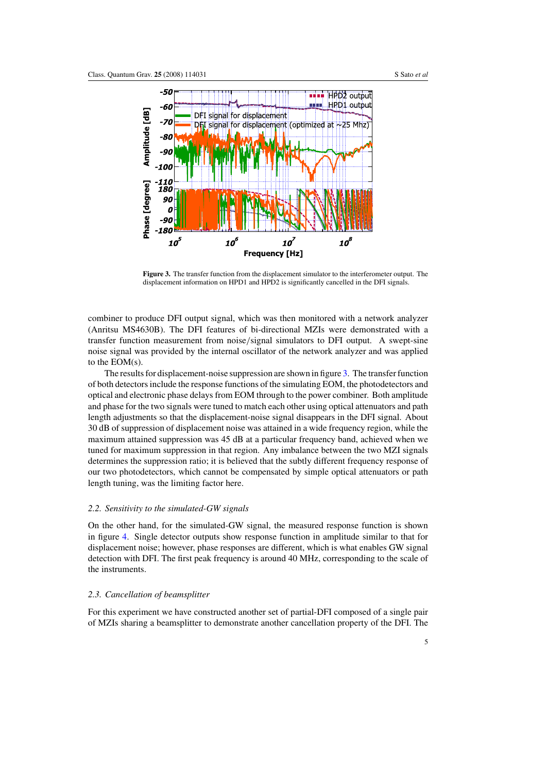

**Figure 3.** The transfer function from the displacement simulator to the interferometer output. The displacement information on HPD1 and HPD2 is significantly cancelled in the DFI signals.

combiner to produce DFI output signal, which was then monitored with a network analyzer (Anritsu MS4630B). The DFI features of bi-directional MZIs were demonstrated with a transfer function measurement from noise*/*signal simulators to DFI output. A swept-sine noise signal was provided by the internal oscillator of the network analyzer and was applied to the EOM(s).

The results for displacement-noise suppression are shown in figure 3. The transfer function of both detectors include the response functions of the simulating EOM, the photodetectors and optical and electronic phase delays from EOM through to the power combiner. Both amplitude and phase for the two signals were tuned to match each other using optical attenuators and path length adjustments so that the displacement-noise signal disappears in the DFI signal. About 30 dB of suppression of displacement noise was attained in a wide frequency region, while the maximum attained suppression was 45 dB at a particular frequency band, achieved when we tuned for maximum suppression in that region. Any imbalance between the two MZI signals determines the suppression ratio; it is believed that the subtly different frequency response of our two photodetectors, which cannot be compensated by simple optical attenuators or path length tuning, was the limiting factor here.

#### *2.2. Sensitivity to the simulated-GW signals*

On the other hand, for the simulated-GW signal, the measured response function is shown in figure [4.](#page-5-0) Single detector outputs show response function in amplitude similar to that for displacement noise; however, phase responses are different, which is what enables GW signal detection with DFI. The first peak frequency is around 40 MHz, corresponding to the scale of the instruments.

#### *2.3. Cancellation of beamsplitter*

For this experiment we have constructed another set of partial-DFI composed of a single pair of MZIs sharing a beamsplitter to demonstrate another cancellation property of the DFI. The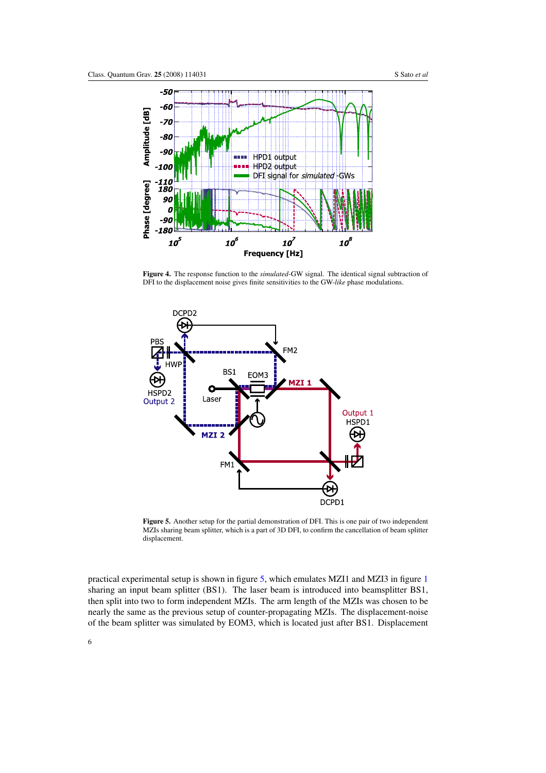<span id="page-5-0"></span>

**Figure 4.** The response function to the *simulated*-GW signal. The identical signal subtraction of DFI to the displacement noise gives finite sensitivities to the GW-*like* phase modulations.



**Figure 5.** Another setup for the partial demonstration of DFI. This is one pair of two independent MZIs sharing beam splitter, which is a part of 3D DFI, to confirm the cancellation of beam splitter displacement.

practical experimental setup is shown in figure 5, which emulates MZI1 and MZI3 in figure [1](#page-1-0) sharing an input beam splitter (BS1). The laser beam is introduced into beamsplitter BS1, then split into two to form independent MZIs. The arm length of the MZIs was chosen to be nearly the same as the previous setup of counter-propagating MZIs. The displacement-noise of the beam splitter was simulated by EOM3, which is located just after BS1. Displacement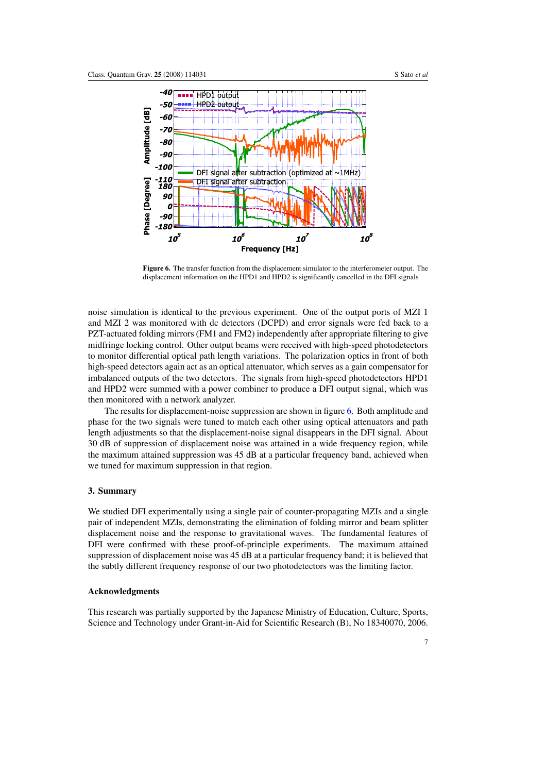

**Figure 6.** The transfer function from the displacement simulator to the interferometer output. The displacement information on the HPD1 and HPD2 is significantly cancelled in the DFI signals

noise simulation is identical to the previous experiment. One of the output ports of MZI 1 and MZI 2 was monitored with dc detectors (DCPD) and error signals were fed back to a PZT-actuated folding mirrors (FM1 and FM2) independently after appropriate filtering to give midfringe locking control. Other output beams were received with high-speed photodetectors to monitor differential optical path length variations. The polarization optics in front of both high-speed detectors again act as an optical attenuator, which serves as a gain compensator for imbalanced outputs of the two detectors. The signals from high-speed photodetectors HPD1 and HPD2 were summed with a power combiner to produce a DFI output signal, which was then monitored with a network analyzer.

The results for displacement-noise suppression are shown in figure 6. Both amplitude and phase for the two signals were tuned to match each other using optical attenuators and path length adjustments so that the displacement-noise signal disappears in the DFI signal. About 30 dB of suppression of displacement noise was attained in a wide frequency region, while the maximum attained suppression was 45 dB at a particular frequency band, achieved when we tuned for maximum suppression in that region.

#### **3. Summary**

We studied DFI experimentally using a single pair of counter-propagating MZIs and a single pair of independent MZIs, demonstrating the elimination of folding mirror and beam splitter displacement noise and the response to gravitational waves. The fundamental features of DFI were confirmed with these proof-of-principle experiments. The maximum attained suppression of displacement noise was 45 dB at a particular frequency band; it is believed that the subtly different frequency response of our two photodetectors was the limiting factor.

## **Acknowledgments**

This research was partially supported by the Japanese Ministry of Education, Culture, Sports, Science and Technology under Grant-in-Aid for Scientific Research (B), No 18340070, 2006.